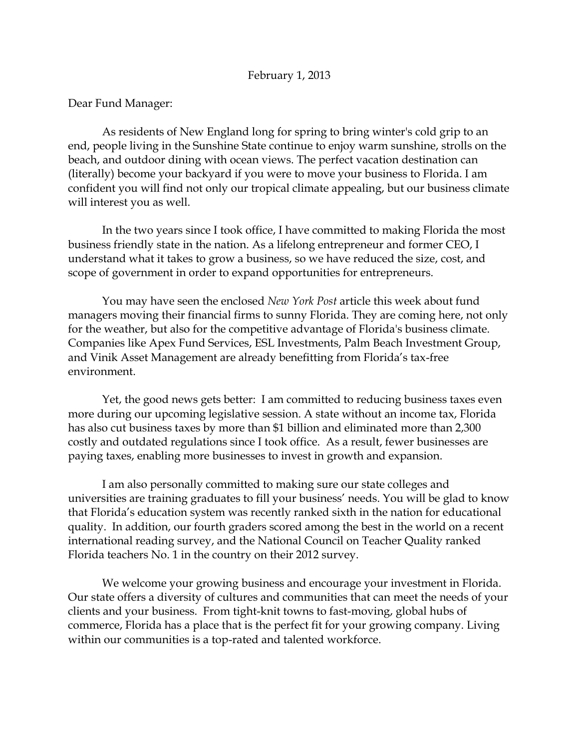## Dear Fund Manager:

As residents of New England long for spring to bring winter's cold grip to an end, people living in the Sunshine State continue to enjoy warm sunshine, strolls on the beach, and outdoor dining with ocean views. The perfect vacation destination can (literally) become your backyard if you were to move your business to Florida. I am confident you will find not only our tropical climate appealing, but our business climate will interest you as well.

In the two years since I took office, I have committed to making Florida the most business friendly state in the nation. As a lifelong entrepreneur and former CEO, I understand what it takes to grow a business, so we have reduced the size, cost, and scope of government in order to expand opportunities for entrepreneurs.

You may have seen the enclosed *New York Post* article this week about fund managers moving their financial firms to sunny Florida. They are coming here, not only for the weather, but also for the competitive advantage of Florida's business climate. Companies like Apex Fund Services, ESL Investments, Palm Beach Investment Group, and Vinik Asset Management are already benefitting from Florida's tax-free environment.

Yet, the good news gets better: I am committed to reducing business taxes even more during our upcoming legislative session. A state without an income tax, Florida has also cut business taxes by more than \$1 billion and eliminated more than 2,300 costly and outdated regulations since I took office. As a result, fewer businesses are paying taxes, enabling more businesses to invest in growth and expansion.

I am also personally committed to making sure our state colleges and universities are training graduates to fill your business' needs. You will be glad to know that Florida's education system was recently ranked sixth in the nation for educational quality. In addition, our fourth graders scored among the best in the world on a recent international reading survey, and the National Council on Teacher Quality ranked Florida teachers No. 1 in the country on their 2012 survey.

We welcome your growing business and encourage your investment in Florida. Our state offers a diversity of cultures and communities that can meet the needs of your clients and your business. From tight-knit towns to fast-moving, global hubs of commerce, Florida has a place that is the perfect fit for your growing company. Living within our communities is a top-rated and talented workforce.